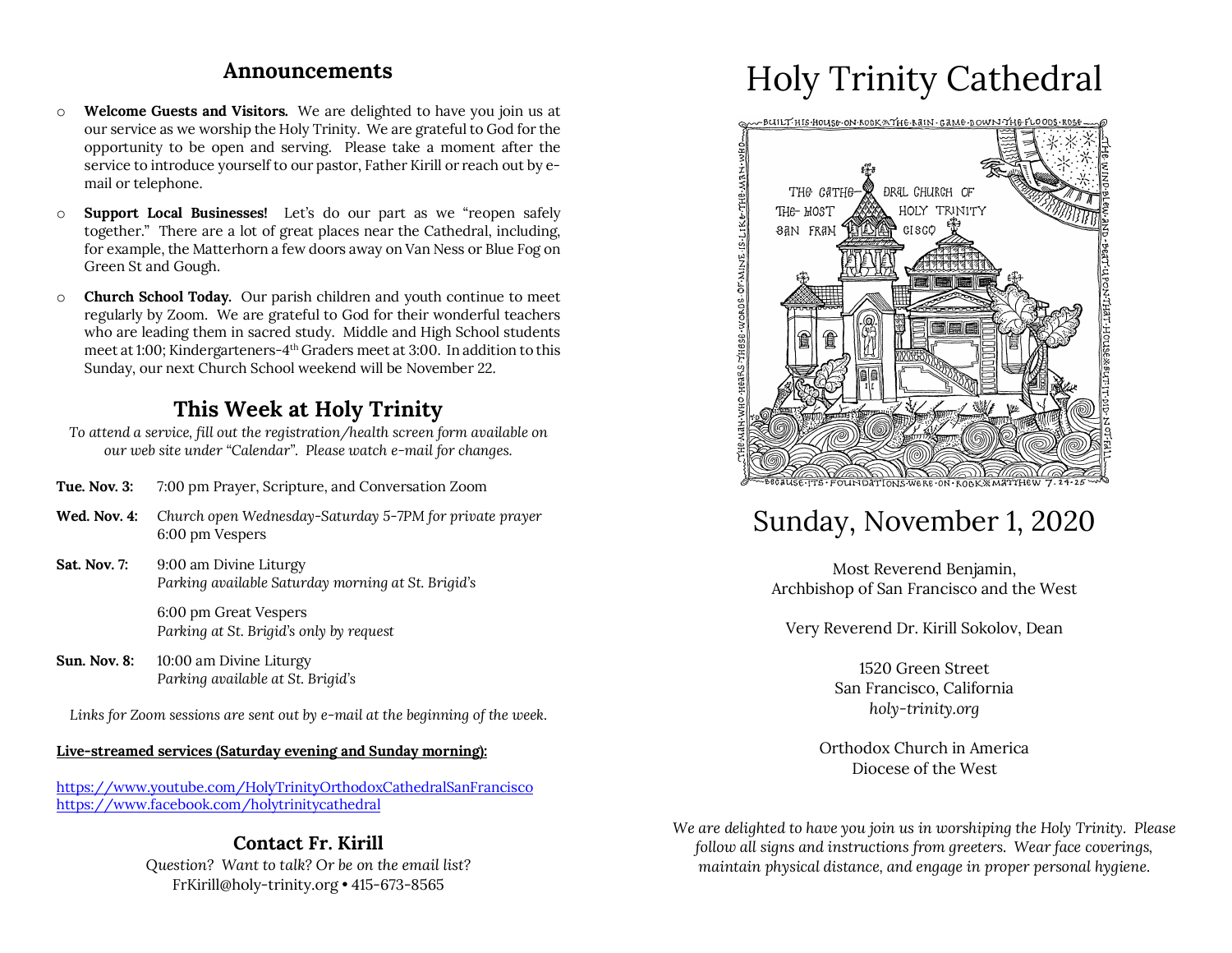### **Announcements**

- o **Welcome Guests and Visitors.** We are delighted to have you join us at our service as we worship the Holy Trinity. We are grateful to God for the opportunity to be open and serving. Please take a moment after the service to introduce yourself to our pastor, Father Kirill or reach out by email or telephone.
- o **Support Local Businesses!** Let's do our part as we "reopen safely together." There are a lot of great places near the Cathedral, including, for example, the Matterhorn a few doors away on Van Ness or Blue Fog on Green St and Gough.
- o **Church School Today.** Our parish children and youth continue to meet regularly by Zoom. We are grateful to God for their wonderful teachers who are leading them in sacred study. Middle and High School students meet at 1:00; Kindergarteners-4th Graders meet at 3:00. In addition to this Sunday, our next Church School weekend will be November 22.

# **This Week at Holy Trinity**

*To attend a service, fill out the registration/health screen form available on our web site under "Calendar". Please watch e-mail for changes.*

- **Tue. Nov. 3:** 7:00 pm Prayer, Scripture, and Conversation Zoom
- **Wed. Nov. 4:** *Church open Wednesday-Saturday 5-7PM for private prayer* 6:00 pm Vespers
- **Sat. Nov. 7:** 9:00 am Divine Liturgy *Parking available Saturday morning at St. Brigid's*

6:00 pm Great Vespers *Parking at St. Brigid's only by request*

**Sun. Nov. 8:** 10:00 am Divine Liturgy *Parking available at St. Brigid's*

*Links for Zoom sessions are sent out by e-mail at the beginning of the week.*

#### **Live-streamed services (Saturday evening and Sunday morning):**

https://www.youtube.com/HolyTrinityOrthodoxCathedralSanFrancisco https://www.facebook.com/holytrinitycathedral

### **Contact Fr. Kirill** *Question? Want to talk? Or be on the email list?*

FrKirill@holy-trinity.org • 415-673-8565

# Holy Trinity Cathedral



# Sunday, November 1, 2020

Most Reverend Benjamin, Archbishop of San Francisco and the West

Very Reverend Dr. Kirill Sokolov, Dean

1520 Green Street San Francisco, California *holy-trinity.org*

Orthodox Church in America Diocese of the West

*We are delighted to have you join us in worshiping the Holy Trinity. Please follow all signs and instructions from greeters. Wear face coverings, maintain physical distance, and engage in proper personal hygiene.*